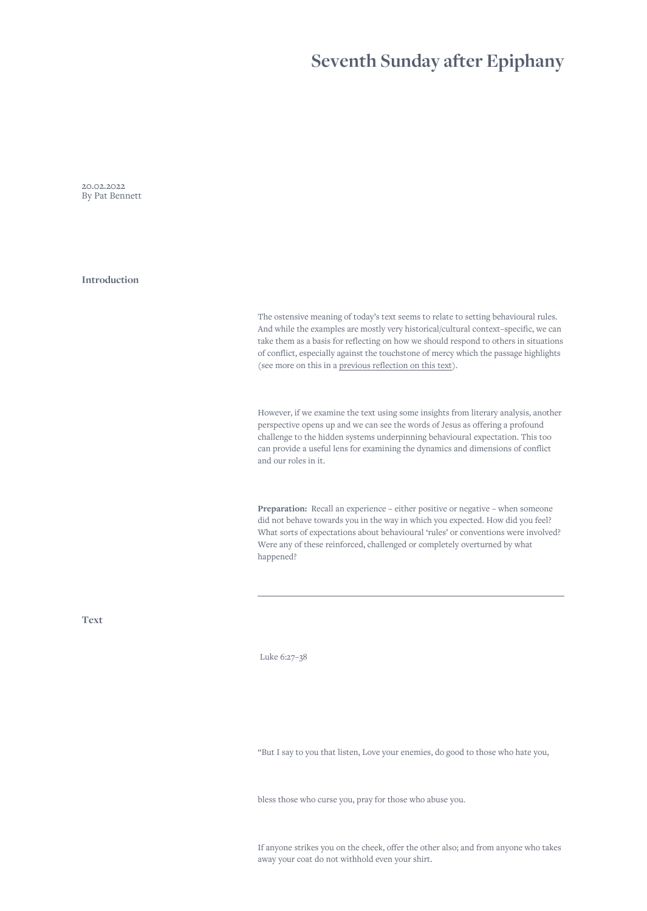## **Seventh Sunday after Epiphany**

20.02.2022 By Pat Bennett

**Introduction**

The ostensive meaning of today's text seems to relate to setting behavioural rules. And while the examples are mostly very historical/cultural context–specific, we can take them as a basis for reflecting on how we should respond to others in situations of conflict, especially against the touchstone of mercy which the passage highlights (see more on this in a [previous reflection on this text\)](https://www.spiritualityofconflict.com/readings/170/seventh-sunday-after-epiphany).

However, if we examine the text using some insights from literary analysis, another perspective opens up and we can see the words of Jesus as offering a profound challenge to the hidden systems underpinning behavioural expectation. This too can provide a useful lens for examining the dynamics and dimensions of conflict and our roles in it.

Preparation: Recall an experience – either positive or negative – when someone did not behave towards you in the way in which you expected. How did you feel? What sorts of expectations about behavioural 'rules' or conventions were involved? Were any of these reinforced, challenged or completely overturned by what happened?

**Text**

Luke 6:27–38

"But I say to you that listen, Love your enemies, do good to those who hate you,

bless those who curse you, pray for those who abuse you.

If anyone strikes you on the cheek, offer the other also; and from anyone who takes away your coat do not withhold even your shirt.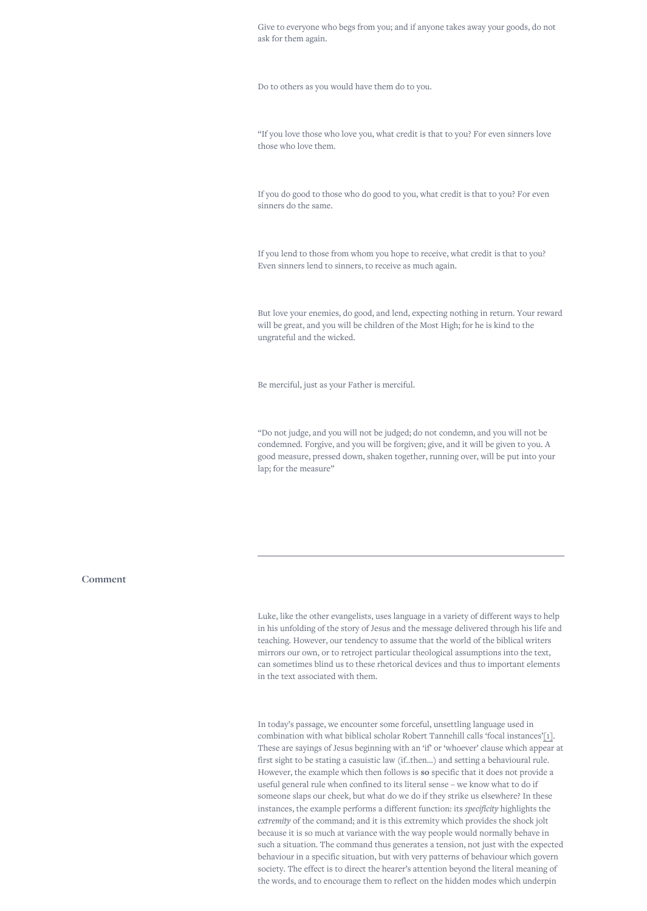<span id="page-1-0"></span>Give to everyone who begs from you; and if anyone takes away your goods, do not ask for them again.

Do to others as you would have them do to you.

"If you love those who love you, what credit is that to you? For even sinners love those who love them.

If you do good to those who do good to you, what credit is that to you? For even sinners do the same.

If you lend to those from whom you hope to receive, what credit is that to you? Even sinners lend to sinners, to receive as much again.

But love your enemies, do good, and lend, expecting nothing in return. Your reward will be great, and you will be children of the Most High; for he is kind to the ungrateful and the wicked.

Be merciful, just as your Father is merciful.

"Do not judge, and you will not be judged; do not condemn, and you will not be condemned. Forgive, and you will be forgiven; give, and it will be given to you. A good measure, pressed down, shaken together, running over, will be put into your lap; for the measure"

**Comment**

Luke, like the other evangelists, uses language in a variety of different ways to help in his unfolding of the story of Jesus and the message delivered through his life and teaching. However, our tendency to assume that the world of the biblical writers mirrors our own, or to retroject particular theological assumptions into the text, can sometimes blind us to these rhetorical devices and thus to important elements in the text associated with them.

In today's passage, we encounter some forceful, unsettling language used in combination with what biblical scholar Robert Tannehill calls 'focal instances['\[1\].](#page-2-0) These are sayings of Jesus beginning with an 'if' or 'whoever' clause which appear at first sight to be stating a casuistic law (if..then…) and setting a behavioural rule. However, the example which then follows is **so** specific that it does not provide a useful general rule when confined to its literal sense – we know what to do if someone slaps our cheek, but what do we do if they strike us elsewhere? In these instances, the example performs a different function: its *specificity* highlights the *extremity* of the command; and it is this extremity which provides the shock jolt because it is so much at variance with the way people would normally behave in such a situation. The command thus generates a tension, not just with the expected behaviour in a specific situation, but with very patterns of behaviour which govern society. The effect is to direct the hearer's attention beyond the literal meaning of the words, and to encourage them to reflect on the hidden modes which underpin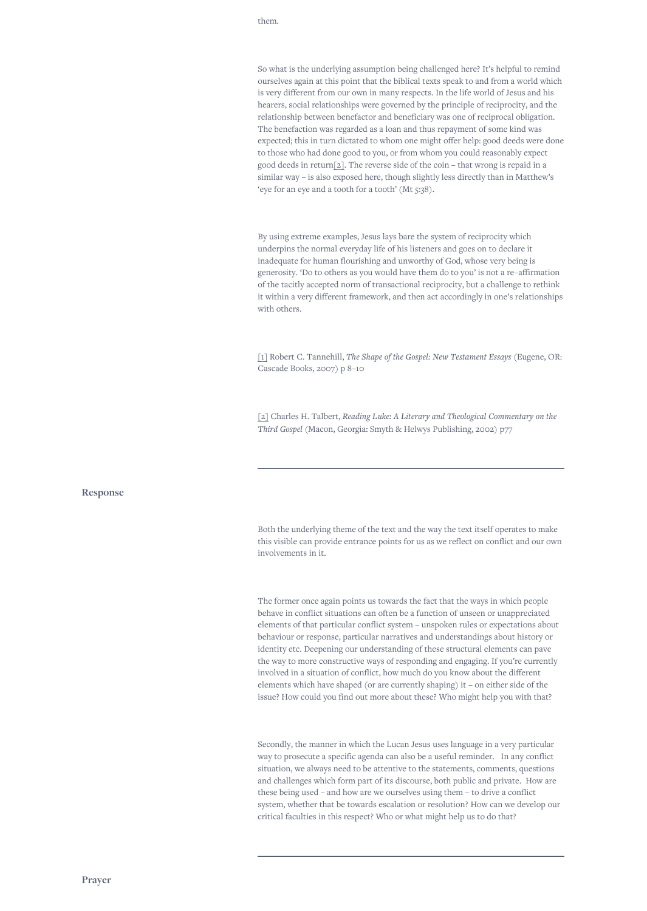## <span id="page-2-0"></span>them.

So what is the underlying assumption being challenged here? It's helpful to remind ourselves again at this point that the biblical texts speak to and from a world which is very different from our own in many respects. In the life world of Jesus and his hearers, social relationships were governed by the principle of reciprocity, and the relationship between benefactor and beneficiary was one of reciprocal obligation. The benefaction was regarded as a loan and thus repayment of some kind was expected; this in turn dictated to whom one might offer help: good deeds were done to those who had done good to you, or from whom you could reasonably expect good deeds in return[2]. The reverse side of the coin – that wrong is repaid in a similar way – is also exposed here, though slightly less directly than in Matthew's 'eye for an eye and a tooth for a tooth' (Mt 5:38).

By using extreme examples, Jesus lays bare the system of reciprocity which underpins the normal everyday life of his listeners and goes on to declare it inadequate for human flourishing and unworthy of God, whose very being is generosity. 'Do to others as you would have them do to you' is not a re–affirmation of the tacitly accepted norm of transactional reciprocity, but a challenge to rethink it within a very different framework, and then act accordingly in one's relationships with others.

[\[1\]](#page-1-0) Robert C. Tannehill, *The Shape of the Gospel: New Testament Essays* (Eugene, OR: Cascade Books, 2007) p 8–10

[2] Charles H. Talbert, *Reading Luke: A Literary and Theological Commentary on the Third Gospel* (Macon, Georgia: Smyth & Helwys Publishing, 2002) p77

## **Response**

Both the underlying theme of the text and the way the text itself operates to make this visible can provide entrance points for us as we reflect on conflict and our own involvements in it.

The former once again points us towards the fact that the ways in which people behave in conflict situations can often be a function of unseen or unappreciated elements of that particular conflict system – unspoken rules or expectations about behaviour or response, particular narratives and understandings about history or identity etc. Deepening our understanding of these structural elements can pave the way to more constructive ways of responding and engaging. If you're currently involved in a situation of conflict, how much do you know about the different elements which have shaped (or are currently shaping) it – on either side of the issue? How could you find out more about these? Who might help you with that?

Secondly, the manner in which the Lucan Jesus uses language in a very particular way to prosecute a specific agenda can also be a useful reminder. In any conflict situation, we always need to be attentive to the statements, comments, questions and challenges which form part of its discourse, both public and private. How are these being used – and how are we ourselves using them – to drive a conflict system, whether that be towards escalation or resolution? How can we develop our critical faculties in this respect? Who or what might help us to do that?